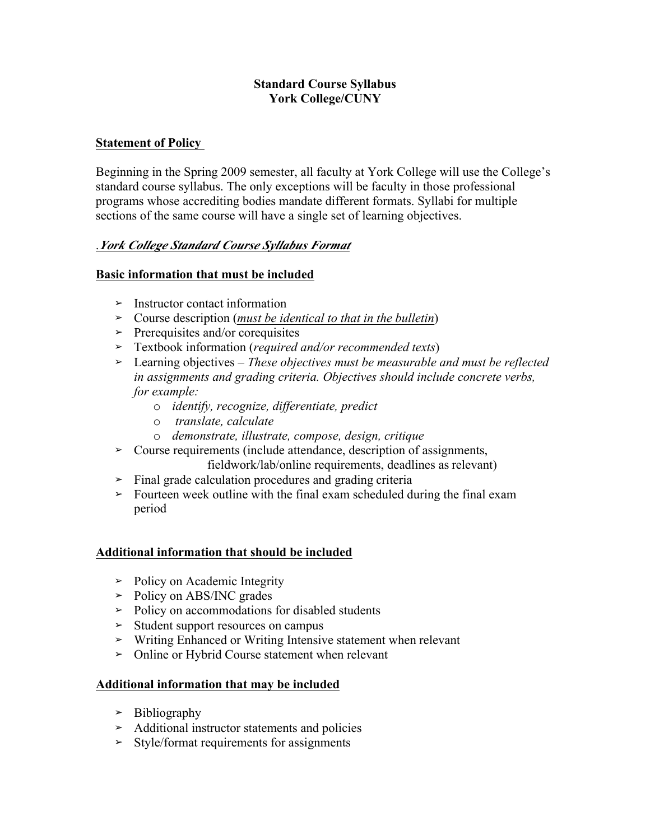## **Standard Course Syllabus York College/CUNY**

# **Statement of Policy**

Beginning in the Spring 2009 semester, all faculty at York College will use the College's standard course syllabus. The only exceptions will be faculty in those professional programs whose accrediting bodies mandate different formats. Syllabi for multiple sections of the same course will have a single set of learning objectives.

# .*York College Standard Course Syllabus Format*

## **Basic information that must be included**

- **➢** Instructor contact information
- **➢** Course description (*must be identical to that in the bulletin*)
- **➢** Prerequisites and/or corequisites
- **➢** Textbook information (*required and/or recommended texts*)
- **➢** Learning objectives *These objectives must be measurable and must be reflected for example: in assignments and grading criteria. Objectives should include concrete verbs,* 
	- o *identify, recognize, differentiate, predict*
	- o *translate, calculate*
	- o *demonstrate, illustrate, compose, design, critique*
- fieldwork/lab/online requirements, deadlines as relevant) **➢** Course requirements (include attendance, description of assignments,
- **➢** Final grade calculation procedures and grading criteria
- **➢** Fourteen week outline with the final exam scheduled during the final exam period

#### **Additional information that should be included**

- **➢** Policy on Academic Integrity
- **➢** Policy on ABS/INC grades
- **➢** Policy on accommodations for disabled students
- **➢** Student support resources on campus
- **➢** Writing Enhanced or Writing Intensive statement when relevant
- **➢** Online or Hybrid Course statement when relevant

#### **Additional information that may be included**

- **➢** Bibliography
- **➢** Additional instructor statements and policies
- **➢** Style/format requirements for assignments